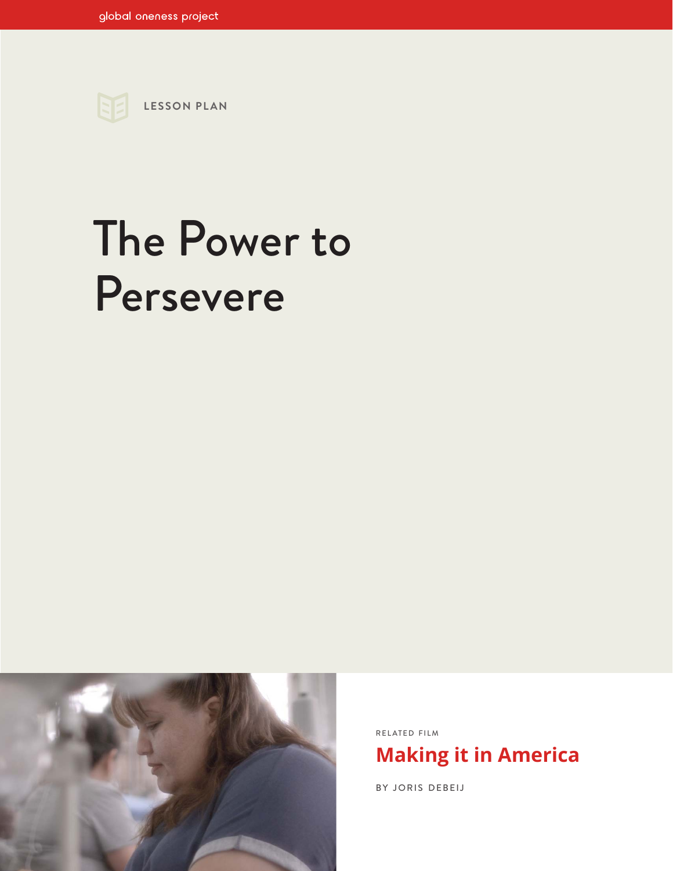

# The Power to Persevere



RELATED FILM **[Making it in America](https://www.globalonenessproject.org/library/films/making-it-america)**

BY JORIS DEBEIJ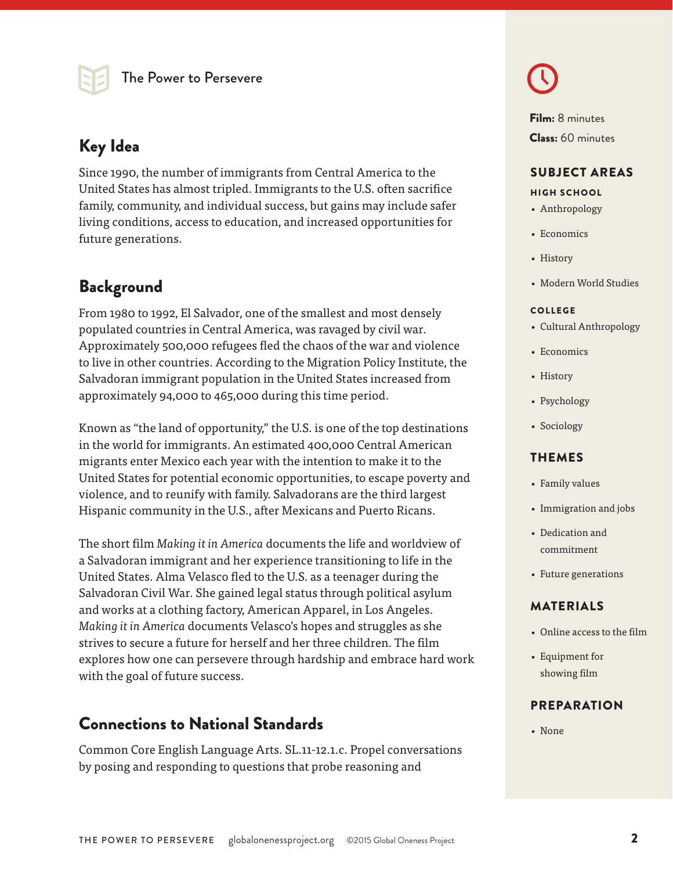## Key Idea **Class:** 60 minutes

Since 1990, the number of immigrants from Central America to the United States has almost tripled. Immigrants to the U.S. often sacrifice family, community, and individual success, but gains may include safer living conditions, access to education, and increased opportunities for future generations.

## **Background**

From 1980 to 1992, El Salvador, one of the smallest and most densely populated countries in Central America, was ravaged by civil war. Approximately 500,000 refugees fled the chaos of the war and violence to live in other countries. According to the Migration Policy Institute, the Salvadoran immigrant population in the United States increased from approximately 94,000 to 465,000 during this time period.

Known as "the land of opportunity," the U.S. is one of the top destinations in the world for immigrants. An estimated 400,000 Central American migrants enter Mexico each year with the intention to make it to the United States for potential economic opportunities, to escape poverty and violence, and to reunify with family. Salvadorans are the third largest Hispanic community in the U.S., after Mexicans and Puerto Ricans.

The short film *Making it in America* documents the life and worldview of a Salvadoran immigrant and her experience transitioning to life in the United States. Alma Velasco fled to the U.S. as a teenager during the Salvadoran Civil War. She gained legal status through political asylum and works at a clothing factory, American Apparel, in Los Angeles. *Making it in America* documents Velasco's hopes and struggles as she strives to secure a future for herself and her three children. The film explores how one can persevere through hardship and embrace hard work with the goal of future success.

## Connections to National Standards

Common Core English Language Arts. SL.11-12.1.c. Propel conversations by posing and responding to questions that probe reasoning and



Film: 8 minutes

#### SUBJECT AREAS

#### HIGH SCHOOL

- Anthropology
- Economics
- History
- Modern World Studies

#### COLLEGE

- Cultural Anthropology
- Economics
- History
- Psychology
- Sociology

#### THEMES

- Family values
- Immigration and jobs
- Dedication and commitment
- Future generations

#### MATERIALS

- Online access to the film
- Equipment for showing film

#### PREPARATION

• None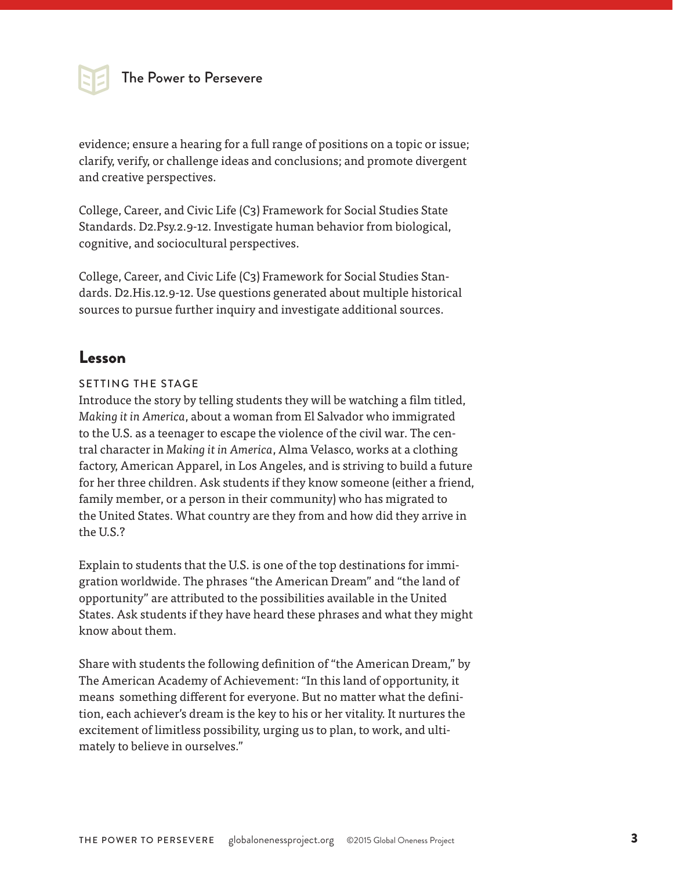

evidence; ensure a hearing for a full range of positions on a topic or issue; clarify, verify, or challenge ideas and conclusions; and promote divergent and creative perspectives.

College, Career, and Civic Life (C3) Framework for Social Studies State Standards. D2.Psy.2.9-12. Investigate human behavior from biological, cognitive, and sociocultural perspectives.

College, Career, and Civic Life (C3) Framework for Social Studies Standards. D2.His.12.9-12. Use questions generated about multiple historical sources to pursue further inquiry and investigate additional sources.

## Lesson

#### SETTING THE STAGE

Introduce the story by telling students they will be watching a film titled, *Making it in America*, about a woman from El Salvador who immigrated to the U.S. as a teenager to escape the violence of the civil war. The central character in *Making it in America*, Alma Velasco, works at a clothing factory, American Apparel, in Los Angeles, and is striving to build a future for her three children. Ask students if they know someone (either a friend, family member, or a person in their community) who has migrated to the United States. What country are they from and how did they arrive in the U.S.?

Explain to students that the U.S. is one of the top destinations for immigration worldwide. The phrases "the American Dream" and "the land of opportunity" are attributed to the possibilities available in the United States. Ask students if they have heard these phrases and what they might know about them.

Share with students the following definition of "the American Dream," by The American Academy of Achievement: "In this land of opportunity, it means something different for everyone. But no matter what the definition, each achiever's dream is the key to his or her vitality. It nurtures the excitement of limitless possibility, urging us to plan, to work, and ultimately to believe in ourselves."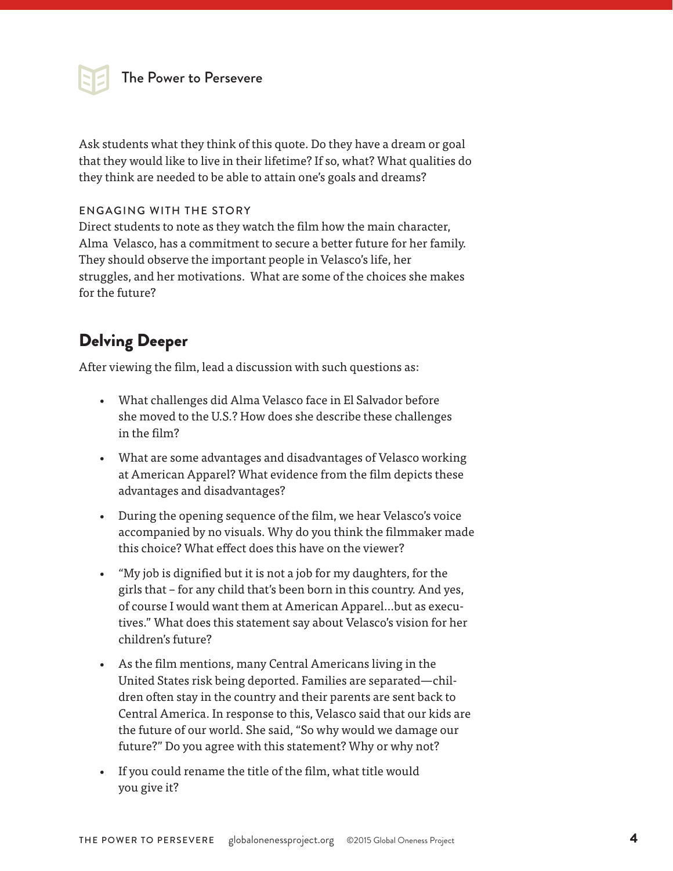

Ask students what they think of this quote. Do they have a dream or goal that they would like to live in their lifetime? If so, what? What qualities do they think are needed to be able to attain one's goals and dreams?

#### ENGAGING WITH THE STORY

Direct students to note as they watch the film how the main character, Alma Velasco, has a commitment to secure a better future for her family. They should observe the important people in Velasco's life, her struggles, and her motivations. What are some of the choices she makes for the future?

## Delving Deeper

After viewing the film, lead a discussion with such questions as:

- What challenges did Alma Velasco face in El Salvador before she moved to the U.S.? How does she describe these challenges in the film?
- What are some advantages and disadvantages of Velasco working at American Apparel? What evidence from the film depicts these advantages and disadvantages?
- During the opening sequence of the film, we hear Velasco's voice accompanied by no visuals. Why do you think the filmmaker made this choice? What effect does this have on the viewer?
- "My job is dignified but it is not a job for my daughters, for the girls that – for any child that's been born in this country. And yes, of course I would want them at American Apparel…but as executives." What does this statement say about Velasco's vision for her children's future?
- As the film mentions, many Central Americans living in the United States risk being deported. Families are separated—children often stay in the country and their parents are sent back to Central America. In response to this, Velasco said that our kids are the future of our world. She said, "So why would we damage our future?" Do you agree with this statement? Why or why not?
- If you could rename the title of the film, what title would you give it?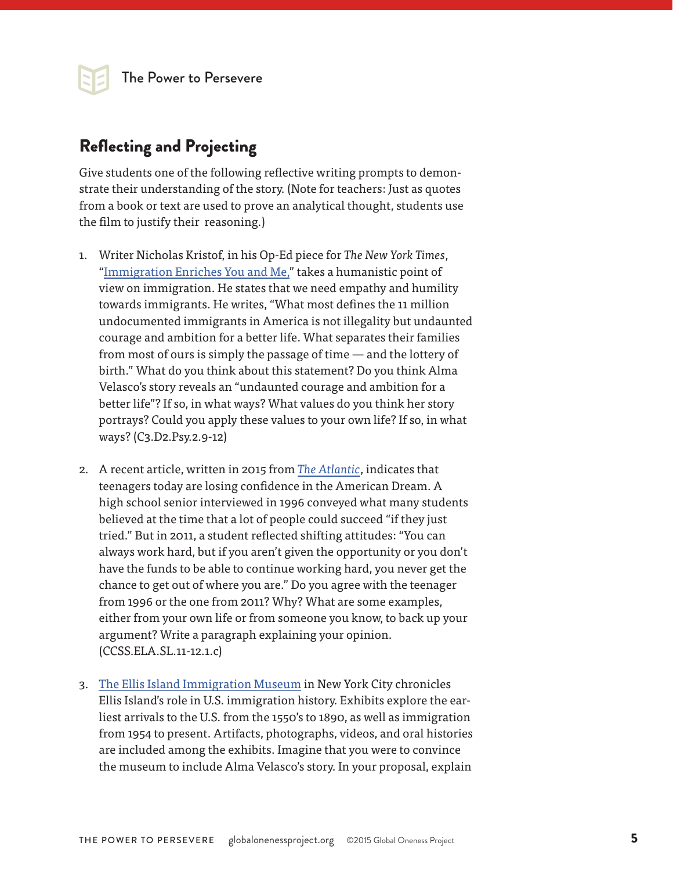The Power to Persevere

## Reflecting and Projecting

Give students one of the following reflective writing prompts to demonstrate their understanding of the story. (Note for teachers: Just as quotes from a book or text are used to prove an analytical thought, students use the film to justify their reasoning.)

- 1. Writer Nicholas Kristof, in his Op-Ed piece for *The New York Times*, "[Immigration Enriches You and Me,](http://www.nytimes.com/2014/11/23/opinion/sunday/nicholas-kristof-immigration-enriches-you-and-m.html?_r=0)" takes a humanistic point of view on immigration. He states that we need empathy and humility towards immigrants. He writes, "What most defines the 11 million undocumented immigrants in America is not illegality but undaunted courage and ambition for a better life. What separates their families from most of ours is simply the passage of time — and the lottery of birth." What do you think about this statement? Do you think Alma Velasco's story reveals an "undaunted courage and ambition for a better life"? If so, in what ways? What values do you think her story portrays? Could you apply these values to your own life? If so, in what ways? (C3.D2.Psy.2.9-12)
- 2. A recent article, written in 2015 from *[The Atlantic](http://www.theatlantic.com/business/archive/2015/06/teenagers-are-losing-confidence-in-the-american-dream/395780/)*, indicates that teenagers today are losing confidence in the American Dream. A high school senior interviewed in 1996 conveyed what many students believed at the time that a lot of people could succeed "if they just tried." But in 2011, a student reflected shifting attitudes: "You can always work hard, but if you aren't given the opportunity or you don't have the funds to be able to continue working hard, you never get the chance to get out of where you are." Do you agree with the teenager from 1996 or the one from 2011? Why? What are some examples, either from your own life or from someone you know, to back up your argument? Write a paragraph explaining your opinion. (CCSS.ELA.SL.11-12.1.c)
- 3. [The Ellis Island Immigration Museum](http://www.libertyellisfoundation.org/immigration-museum) in New York City chronicles Ellis Island's role in U.S. immigration history. Exhibits explore the earliest arrivals to the U.S. from the 1550's to 1890, as well as immigration from 1954 to present. Artifacts, photographs, videos, and oral histories are included among the exhibits. Imagine that you were to convince the museum to include Alma Velasco's story. In your proposal, explain